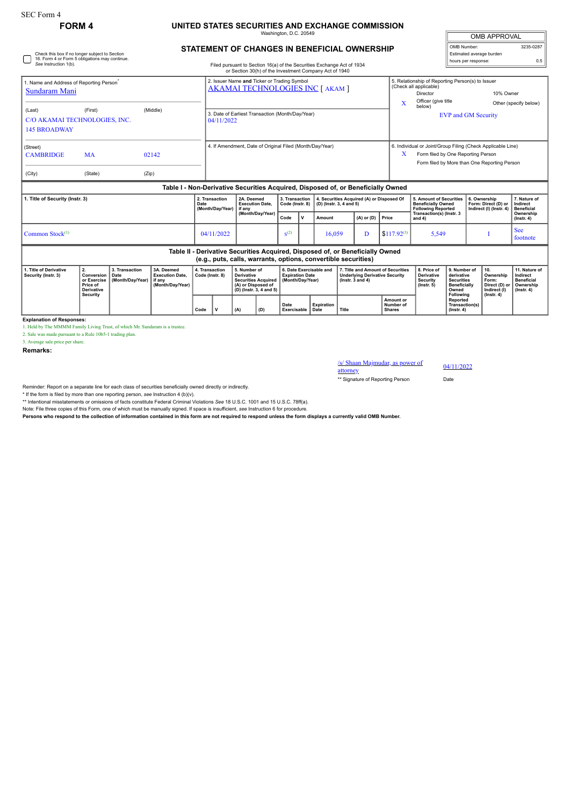## **FORM 4 UNITED STATES SECURITIES AND EXCHANGE COMMISSION**

Washington, D.C. 20549

## **STATEMENT OF CHANGES IN BENEFICIAL OWNERSHIP**

Check this box if no longer subject to Section 16. Form 4 or Form 5 obligations may continue. *See* Instruction 1(b).

## Filed pursuant to Section 16(a) of the Securities Exchange Act of 1934 or Section 30(h) of the Investment Company Act of 1940

| <b>OMB APPROVAL</b>      |           |  |  |  |  |  |  |  |  |
|--------------------------|-----------|--|--|--|--|--|--|--|--|
| OMB Number:              | 3235-0287 |  |  |  |  |  |  |  |  |
| Estimated average burden |           |  |  |  |  |  |  |  |  |
| hours per response:      |           |  |  |  |  |  |  |  |  |

| . Name and Address of Reporting Person <sup>*</sup>            |           |       | 2. Issuer Name and Ticker or Trading Symbol<br><b>AKAMAI TECHNOLOGIES INC [ AKAM ]</b> | 5. Relationship of Reporting Person(s) to Issuer<br>(Check all applicable) |                                                             |                       |  |  |  |
|----------------------------------------------------------------|-----------|-------|----------------------------------------------------------------------------------------|----------------------------------------------------------------------------|-------------------------------------------------------------|-----------------------|--|--|--|
| Sundaram Mani                                                  |           |       |                                                                                        |                                                                            | Director                                                    | 10% Owner             |  |  |  |
|                                                                |           |       |                                                                                        |                                                                            | Officer (give title<br>below)                               | Other (specify below) |  |  |  |
| (First)<br>(Middle)<br>(Last)<br>C/O AKAMAI TECHNOLOGIES, INC. |           |       | 3. Date of Earliest Transaction (Month/Day/Year)<br>04/11/2022                         | <b>EVP and GM Security</b>                                                 |                                                             |                       |  |  |  |
| <b>145 BROADWAY</b>                                            |           |       |                                                                                        |                                                                            |                                                             |                       |  |  |  |
| (Street)                                                       |           |       | 4. If Amendment, Date of Original Filed (Month/Day/Year)                               |                                                                            | 6. Individual or Joint/Group Filing (Check Applicable Line) |                       |  |  |  |
| <b>CAMBRIDGE</b>                                               | <b>MA</b> | 02142 |                                                                                        | $\lambda$                                                                  | Form filed by One Reporting Person                          |                       |  |  |  |
|                                                                |           |       |                                                                                        |                                                                            | Form filed by More than One Reporting Person                |                       |  |  |  |
| (City)                                                         | (State)   | (Zip) |                                                                                        |                                                                            |                                                             |                       |  |  |  |
|                                                                |           |       | Table I - Non-Derivative Securities Acquired, Disposed of, or Beneficially Owned       |                                                                            |                                                             |                       |  |  |  |

| 1. Title of Security (Instr. 3)                                                                                                                 | 2. Transaction<br>Date<br>(Month/Dav/Year) I if any | 2A. Deemed<br><b>Execution Date.</b><br>(Month/Day/Year) | Code (Instr. 8)  |  | 3. Transaction   4. Securities Acquired (A) or Disposed Of<br>$ $ (D) (lnstr. 3, 4 and 5) |                    |                                       | 5. Amount of Securities<br><b>Beneficially Owned</b><br>Following Reported | 6. Ownership<br>Form: Direct (D) or<br>Indirect (I) (Instr. 4) | 7. Nature of<br>Indirect<br>Beneficial |  |  |
|-------------------------------------------------------------------------------------------------------------------------------------------------|-----------------------------------------------------|----------------------------------------------------------|------------------|--|-------------------------------------------------------------------------------------------|--------------------|---------------------------------------|----------------------------------------------------------------------------|----------------------------------------------------------------|----------------------------------------|--|--|
|                                                                                                                                                 |                                                     |                                                          | Code             |  | Amount                                                                                    | $(A)$ or (D) Price |                                       | Transaction(s) (Instr. 3<br>and 4)                                         |                                                                | Ownership<br>$($ lnstr. 4 $)$          |  |  |
| Common Stock $(1)$                                                                                                                              | 04/11/2022                                          |                                                          | S <sup>(2)</sup> |  | 16.059                                                                                    |                    | $\frac{1}{2}$ \$117.92 <sup>(3)</sup> | 5.549                                                                      |                                                                | See<br>footnote                        |  |  |
| Table II - Derivative Securities Acquired, Disposed of, or Beneficially Owned<br>(e.g., puts, calls, warrants, options, convertible securities) |                                                     |                                                          |                  |  |                                                                                           |                    |                                       |                                                                            |                                                                |                                        |  |  |

| 1. Title of Derivative<br>Security (Instr. 3) | Conversion   Date<br>or Exercise<br>Price of<br><b>Derivative</b> | 3. Transaction<br>Month/Dav/Year) I if any | 3A. Deemed<br><b>Execution Date.</b><br>(Month/Dav/Year) | 4. Transaction<br>Code (Instr. 8) |     | 5. Number of<br><b>Derivative</b><br>Securities Acquired   (Month/Dav/Year)<br>(A) or Disposed of<br>(D) (lnstr. 3, 4 and 5) $ $ |                              | 6. Date Exercisable and<br><b>Expiration Date</b> |       | 7. Title and Amount of Securities<br><b>Underlying Derivative Security</b><br>(Instr. 3 and 4) |  | 8. Price of<br><b>Derivative</b><br>Security<br>$($ lnstr. 5 $)$ | l 9. Number of<br>derivative<br><b>Securities</b><br><b>Beneficially</b><br>Owned | Ownership<br>' Form:<br>∣ Direct (D) or ∣ Ownership<br>Indirect (I) | l 11. Nature of I<br>Indirect<br><b>Beneficial</b><br>  (Instr. 4) |
|-----------------------------------------------|-------------------------------------------------------------------|--------------------------------------------|----------------------------------------------------------|-----------------------------------|-----|----------------------------------------------------------------------------------------------------------------------------------|------------------------------|---------------------------------------------------|-------|------------------------------------------------------------------------------------------------|--|------------------------------------------------------------------|-----------------------------------------------------------------------------------|---------------------------------------------------------------------|--------------------------------------------------------------------|
|                                               | Security                                                          |                                            | Code                                                     |                                   | (A) | (D)                                                                                                                              | Date<br>  Exercisable   Date | Expiration                                        | Title | Amount or<br>Number of<br><b>Shares</b>                                                        |  | Following<br>Reported<br>Transaction(s)<br>$($ lnstr. 4 $)$      | $($ Instr. 4 $)$                                                                  |                                                                     |                                                                    |

**Explanation of Responses:**

1. Held by The MMMM Family Living Trust, of which Mr. Sundaram is a trustee.

2. Sale was made pursuant to a Rule 10b5-1 trading plan. 3. Average sale price per share.

**Remarks:**

/s/ Shaan Majmudar, as power of attorney

04/11/2022

\*\* Signature of Reporting Person Date

Reminder: Report on a separate line for each class of securities beneficially owned directly or indirectly.

\* If the form is filed by more than one reporting person, *see* Instruction 4 (b)(v).

\*\* Intentional misstatements or omissions of facts constitute Federal Criminal Violations *See* 18 U.S.C. 1001 and 15 U.S.C. 78ff(a). Note: File three copies of this Form, one of which must be manually signed. If space is insufficient, *see* Instruction 6 for procedure.

**Persons who respond to the collection of information contained in this form are not required to respond unless the form displays a currently valid OMB Number.**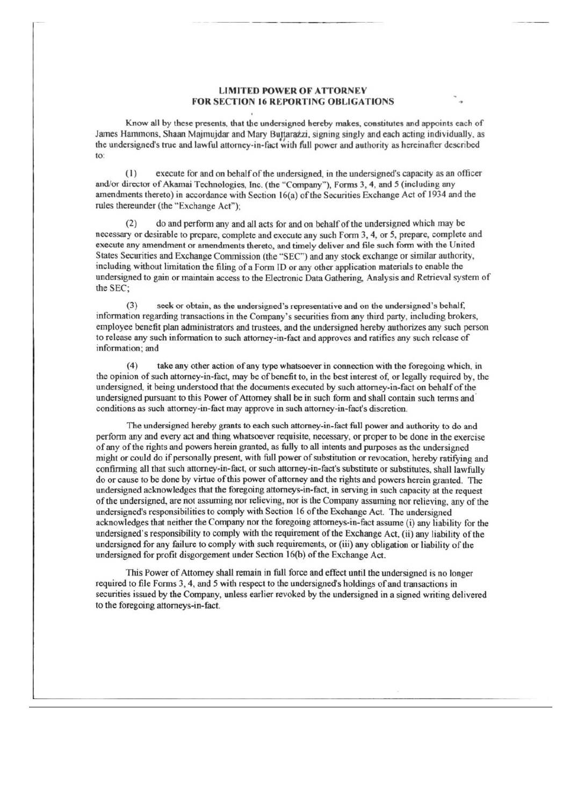## **LIMITED POWER OF ATTORNEY FOR SECTION 16 REPORTING OBLIGATIONS**

Know all by these presents, that the undersigned hereby makes, constitutes and appoints each of James Hammons, Shaan Majmujdar and Mary Buttarazzi, signing singly and each acting individually, as the undersigned's true and lawful attorney-in-fact with full power and authority as hereinafter described to:

execute for and on behalf of the undersigned, in the undersigned's capacity as an officer  $(1)$ and/or director of Akamai Technologies, Inc. (the "Company"), Forms 3, 4, and 5 (including any amendments thereto) in accordance with Section 16(a) of the Securities Exchange Act of 1934 and the rules thereunder (the "Exchange Act"):

 $(2)$ do and perform any and all acts for and on behalf of the undersigned which may be necessary or desirable to prepare, complete and execute any such Form 3, 4, or 5, prepare, complete and execute any amendment or amendments thereto, and timely deliver and file such form with the United States Securities and Exchange Commission (the "SEC") and any stock exchange or similar authority, including without limitation the filing of a Form ID or any other application materials to enable the undersigned to gain or maintain access to the Electronic Data Gathering, Analysis and Retrieval system of the SEC:

 $(3)$ seek or obtain, as the undersigned's representative and on the undersigned's behalf, information regarding transactions in the Company's securities from any third party, including brokers, employee benefit plan administrators and trustees, and the undersigned hereby authorizes any such person to release any such information to such attorney-in-fact and approves and ratifies any such release of information; and

 $(4)$ take any other action of any type whatsoever in connection with the foregoing which, in the opinion of such attorney-in-fact, may be of benefit to, in the best interest of, or legally required by, the undersigned, it being understood that the documents executed by such attorney-in-fact on behalf of the undersigned pursuant to this Power of Attorney shall be in such form and shall contain such terms and conditions as such attorney-in-fact may approve in such attorney-in-fact's discretion.

The undersigned hereby grants to each such attorney-in-fact full power and authority to do and perform any and every act and thing whatsoever requisite, necessary, or proper to be done in the exercise of any of the rights and powers herein granted, as fully to all intents and purposes as the undersigned might or could do if personally present, with full power of substitution or revocation, hereby ratifying and confirming all that such attorney-in-fact, or such attorney-in-fact's substitute or substitutes, shall lawfully do or cause to be done by virtue of this power of attorney and the rights and powers herein granted. The undersigned acknowledges that the foregoing attorneys-in-fact, in serving in such capacity at the request of the undersigned, are not assuming nor relieving, nor is the Company assuming nor relieving, any of the undersigned's responsibilities to comply with Section 16 of the Exchange Act. The undersigned acknowledges that neither the Company nor the foregoing attorneys-in-fact assume (i) any liability for the undersigned's responsibility to comply with the requirement of the Exchange Act, (ii) any liability of the undersigned for any failure to comply with such requirements, or (iii) any obligation or liability of the undersigned for profit disgorgement under Section 16(b) of the Exchange Act.

This Power of Attorney shall remain in full force and effect until the undersigned is no longer required to file Forms 3, 4, and 5 with respect to the undersigned's holdings of and transactions in securities issued by the Company, unless earlier revoked by the undersigned in a signed writing delivered to the foregoing attorneys-in-fact.